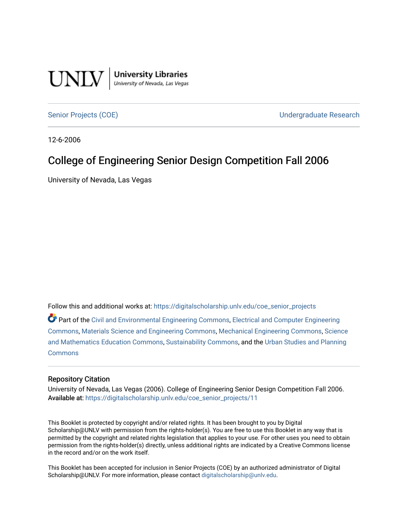

[Senior Projects \(COE\)](https://digitalscholarship.unlv.edu/coe_senior_projects) [Undergraduate Research](https://digitalscholarship.unlv.edu/coe_ug_research) 

12-6-2006

## College of Engineering Senior Design Competition Fall 2006

University of Nevada, Las Vegas

Follow this and additional works at: [https://digitalscholarship.unlv.edu/coe\\_senior\\_projects](https://digitalscholarship.unlv.edu/coe_senior_projects?utm_source=digitalscholarship.unlv.edu%2Fcoe_senior_projects%2F11&utm_medium=PDF&utm_campaign=PDFCoverPages)

Part of the [Civil and Environmental Engineering Commons](http://network.bepress.com/hgg/discipline/251?utm_source=digitalscholarship.unlv.edu%2Fcoe_senior_projects%2F11&utm_medium=PDF&utm_campaign=PDFCoverPages), [Electrical and Computer Engineering](http://network.bepress.com/hgg/discipline/266?utm_source=digitalscholarship.unlv.edu%2Fcoe_senior_projects%2F11&utm_medium=PDF&utm_campaign=PDFCoverPages) [Commons](http://network.bepress.com/hgg/discipline/266?utm_source=digitalscholarship.unlv.edu%2Fcoe_senior_projects%2F11&utm_medium=PDF&utm_campaign=PDFCoverPages), [Materials Science and Engineering Commons,](http://network.bepress.com/hgg/discipline/285?utm_source=digitalscholarship.unlv.edu%2Fcoe_senior_projects%2F11&utm_medium=PDF&utm_campaign=PDFCoverPages) [Mechanical Engineering Commons](http://network.bepress.com/hgg/discipline/293?utm_source=digitalscholarship.unlv.edu%2Fcoe_senior_projects%2F11&utm_medium=PDF&utm_campaign=PDFCoverPages), [Science](http://network.bepress.com/hgg/discipline/800?utm_source=digitalscholarship.unlv.edu%2Fcoe_senior_projects%2F11&utm_medium=PDF&utm_campaign=PDFCoverPages) [and Mathematics Education Commons](http://network.bepress.com/hgg/discipline/800?utm_source=digitalscholarship.unlv.edu%2Fcoe_senior_projects%2F11&utm_medium=PDF&utm_campaign=PDFCoverPages), [Sustainability Commons,](http://network.bepress.com/hgg/discipline/1031?utm_source=digitalscholarship.unlv.edu%2Fcoe_senior_projects%2F11&utm_medium=PDF&utm_campaign=PDFCoverPages) and the [Urban Studies and Planning](http://network.bepress.com/hgg/discipline/436?utm_source=digitalscholarship.unlv.edu%2Fcoe_senior_projects%2F11&utm_medium=PDF&utm_campaign=PDFCoverPages) **[Commons](http://network.bepress.com/hgg/discipline/436?utm_source=digitalscholarship.unlv.edu%2Fcoe_senior_projects%2F11&utm_medium=PDF&utm_campaign=PDFCoverPages)** 

#### Repository Citation

University of Nevada, Las Vegas (2006). College of Engineering Senior Design Competition Fall 2006. Available at: [https://digitalscholarship.unlv.edu/coe\\_senior\\_projects/11](https://digitalscholarship.unlv.edu/coe_senior_projects/11) 

This Booklet is protected by copyright and/or related rights. It has been brought to you by Digital Scholarship@UNLV with permission from the rights-holder(s). You are free to use this Booklet in any way that is permitted by the copyright and related rights legislation that applies to your use. For other uses you need to obtain permission from the rights-holder(s) directly, unless additional rights are indicated by a Creative Commons license in the record and/or on the work itself.

This Booklet has been accepted for inclusion in Senior Projects (COE) by an authorized administrator of Digital Scholarship@UNLV. For more information, please contact [digitalscholarship@unlv.edu.](mailto:digitalscholarship@unlv.edu)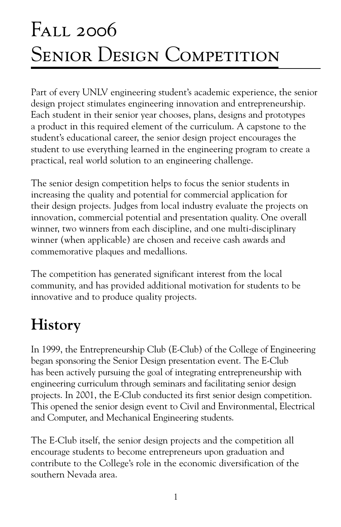# Fall 2006 SENIOR DESIGN COMPETITION

Part of every UNLV engineering student's academic experience, the senior design project stimulates engineering innovation and entrepreneurship. Each student in their senior year chooses, plans, designs and prototypes a product in this required element of the curriculum. A capstone to the student's educational career, the senior design project encourages the student to use everything learned in the engineering program to create a practical, real world solution to an engineering challenge.

The senior design competition helps to focus the senior students in increasing the quality and potential for commercial application for their design projects. Judges from local industry evaluate the projects on innovation, commercial potential and presentation quality. One overall winner, two winners from each discipline, and one multi-disciplinary winner (when applicable) are chosen and receive cash awards and commemorative plaques and medallions.

The competition has generated significant interest from the local community, and has provided additional motivation for students to be innovative and to produce quality projects.

## **History**

In 1999, the Entrepreneurship Club (E-Club) of the College of Engineering began sponsoring the Senior Design presentation event. The E-Club has been actively pursuing the goal of integrating entrepreneurship with engineering curriculum through seminars and facilitating senior design projects. In 2001, the E-Club conducted its first senior design competition. This opened the senior design event to Civil and Environmental, Electrical and Computer, and Mechanical Engineering students.

The E-Club itself, the senior design projects and the competition all encourage students to become entrepreneurs upon graduation and contribute to the College's role in the economic diversification of the southern Nevada area.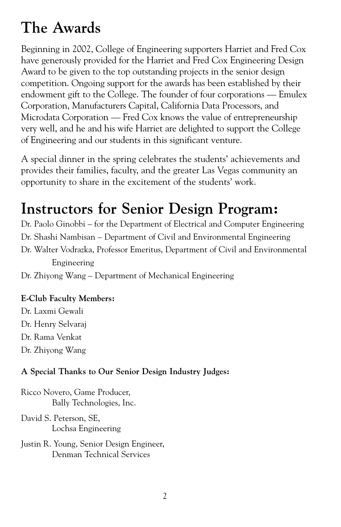## **The Awards**

Beginning in 2002, College of Engineering supporters Harriet and Fred Cox have generously provided for the Harriet and Fred Cox Engineering Design Award to be given to the top outstanding projects in the senior design competition. Ongoing support for the awards has been established by their endowment gift to the College. The founder of four corporations — Emulex Corporation, Manufacturers Capital, California Data Processors, and Microdata Corporation — Fred Cox knows the value of entrepreneurship very well, and he and his wife Harriet are delighted to support the College of Engineering and our students in this significant venture.

A special dinner in the spring celebrates the students' achievements and provides their families, faculty, and the greater Las Vegas community an opportunity to share in the excitement of the students' work.

## **Instructors for Senior Design Program:**

Dr. Paolo Ginobbi – for the Department of Electrical and Computer Engineering Dr. Shashi Nambisan – Department of Civil and Environmental Engineering Dr. Walter Vodrazka, Professor Emeritus, Department of Civil and Environmental Engineering

Dr. Zhiyong Wang – Department of Mechanical Engineering

#### **E-Club Faculty Members:**

Dr. Laxmi Gewali Dr. Henry Selvaraj Dr. Rama Venkat Dr. Zhiyong Wang

#### **A Special Thanks to Our Senior Design Industry Judges:**

Ricco Novero, Game Producer, Bally Technologies, Inc.

David S. Peterson, SE, Lochsa Engineering

Justin R. Young, Senior Design Engineer, Denman Technical Services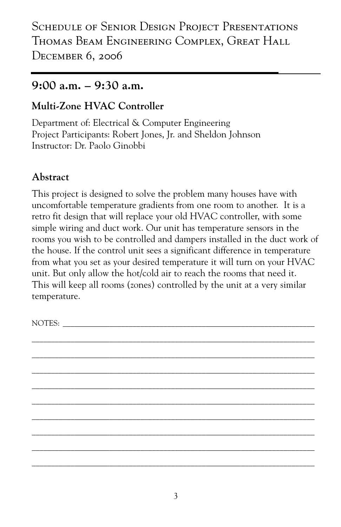## **9:00 a.m. – 9:30 a.m.**

## **Multi-Zone HVAC Controller**

Department of: Electrical & Computer Engineering Project Participants: Robert Jones, Jr. and Sheldon Johnson Instructor: Dr. Paolo Ginobbi

## **Abstract**

This project is designed to solve the problem many houses have with uncomfortable temperature gradients from one room to another. It is a retro fit design that will replace your old HVAC controller, with some simple wiring and duct work. Our unit has temperature sensors in the rooms you wish to be controlled and dampers installed in the duct work of the house. If the control unit sees a significant difference in temperature from what you set as your desired temperature it will turn on your HVAC unit. But only allow the hot/cold air to reach the rooms that need it. This will keep all rooms (zones) controlled by the unit at a very similar temperature.

 $\_$  , and the set of the set of the set of the set of the set of the set of the set of the set of the set of the set of the set of the set of the set of the set of the set of the set of the set of the set of the set of th  $\_$  , and the set of the set of the set of the set of the set of the set of the set of the set of the set of the set of the set of the set of the set of the set of the set of the set of the set of the set of the set of th  $\_$  , and the set of the set of the set of the set of the set of the set of the set of the set of the set of the set of the set of the set of the set of the set of the set of the set of the set of the set of the set of th  $\_$  , and the set of the set of the set of the set of the set of the set of the set of the set of the set of the set of the set of the set of the set of the set of the set of the set of the set of the set of the set of th  $\_$  , and the set of the set of the set of the set of the set of the set of the set of the set of the set of the set of the set of the set of the set of the set of the set of the set of the set of the set of the set of th  $\_$  , and the set of the set of the set of the set of the set of the set of the set of the set of the set of the set of the set of the set of the set of the set of the set of the set of the set of the set of the set of th  $\_$  , and the set of the set of the set of the set of the set of the set of the set of the set of the set of the set of the set of the set of the set of the set of the set of the set of the set of the set of the set of th  $\_$  , and the set of the set of the set of the set of the set of the set of the set of the set of the set of the set of the set of the set of the set of the set of the set of the set of the set of the set of the set of th  $\_$  , and the set of the set of the set of the set of the set of the set of the set of the set of the set of the set of the set of the set of the set of the set of the set of the set of the set of the set of the set of th

NOTES: \_\_\_\_\_\_\_\_\_\_\_\_\_\_\_\_\_\_\_\_\_\_\_\_\_\_\_\_\_\_\_\_\_\_\_\_\_\_\_\_\_\_\_\_\_\_\_\_\_\_\_\_\_\_\_\_\_\_\_\_\_\_\_\_\_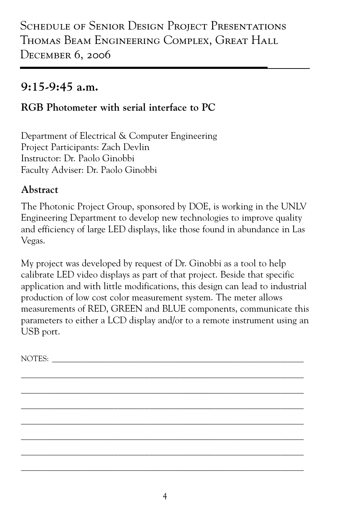## **9:15-9:45 a.m.**

## **RGB Photometer with serial interface to PC**

Department of Electrical & Computer Engineering Project Participants: Zach Devlin Instructor: Dr. Paolo Ginobbi Faculty Adviser: Dr. Paolo Ginobbi

#### **Abstract**

The Photonic Project Group, sponsored by DOE, is working in the UNLV Engineering Department to develop new technologies to improve quality and efficiency of large LED displays, like those found in abundance in Las Vegas.

My project was developed by request of Dr. Ginobbi as a tool to help calibrate LED video displays as part of that project. Beside that specific application and with little modifications, this design can lead to industrial production of low cost color measurement system. The meter allows measurements of RED, GREEN and BLUE components, communicate this parameters to either a LCD display and/or to a remote instrument using an USB port.

\_\_\_\_\_\_\_\_\_\_\_\_\_\_\_\_\_\_\_\_\_\_\_\_\_\_\_\_\_\_\_\_\_\_\_\_\_\_\_\_\_\_\_\_\_\_\_\_\_\_\_\_\_\_\_\_\_\_\_\_\_\_\_\_\_\_\_\_\_\_\_\_\_ \_\_\_\_\_\_\_\_\_\_\_\_\_\_\_\_\_\_\_\_\_\_\_\_\_\_\_\_\_\_\_\_\_\_\_\_\_\_\_\_\_\_\_\_\_\_\_\_\_\_\_\_\_\_\_\_\_\_\_\_\_\_\_\_\_\_\_\_\_\_\_\_\_ \_\_\_\_\_\_\_\_\_\_\_\_\_\_\_\_\_\_\_\_\_\_\_\_\_\_\_\_\_\_\_\_\_\_\_\_\_\_\_\_\_\_\_\_\_\_\_\_\_\_\_\_\_\_\_\_\_\_\_\_\_\_\_\_\_\_\_\_\_\_\_\_\_ \_\_\_\_\_\_\_\_\_\_\_\_\_\_\_\_\_\_\_\_\_\_\_\_\_\_\_\_\_\_\_\_\_\_\_\_\_\_\_\_\_\_\_\_\_\_\_\_\_\_\_\_\_\_\_\_\_\_\_\_\_\_\_\_\_\_\_\_\_\_\_\_\_ \_\_\_\_\_\_\_\_\_\_\_\_\_\_\_\_\_\_\_\_\_\_\_\_\_\_\_\_\_\_\_\_\_\_\_\_\_\_\_\_\_\_\_\_\_\_\_\_\_\_\_\_\_\_\_\_\_\_\_\_\_\_\_\_\_\_\_\_\_\_\_\_\_ \_\_\_\_\_\_\_\_\_\_\_\_\_\_\_\_\_\_\_\_\_\_\_\_\_\_\_\_\_\_\_\_\_\_\_\_\_\_\_\_\_\_\_\_\_\_\_\_\_\_\_\_\_\_\_\_\_\_\_\_\_\_\_\_\_\_\_\_\_\_\_\_\_ \_\_\_\_\_\_\_\_\_\_\_\_\_\_\_\_\_\_\_\_\_\_\_\_\_\_\_\_\_\_\_\_\_\_\_\_\_\_\_\_\_\_\_\_\_\_\_\_\_\_\_\_\_\_\_\_\_\_\_\_\_\_\_\_\_\_\_\_\_\_\_\_\_

NOTES: \_\_\_\_\_\_\_\_\_\_\_\_\_\_\_\_\_\_\_\_\_\_\_\_\_\_\_\_\_\_\_\_\_\_\_\_\_\_\_\_\_\_\_\_\_\_\_\_\_\_\_\_\_\_\_\_\_\_\_\_\_\_\_\_\_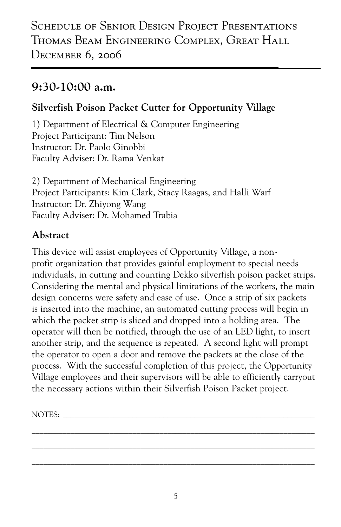## **9:30-10:00 a.m.**

### **Silverfish Poison Packet Cutter for Opportunity Village**

1) Department of Electrical & Computer Engineering Project Participant: Tim Nelson Instructor: Dr. Paolo Ginobbi Faculty Adviser: Dr. Rama Venkat

2) Department of Mechanical Engineering Project Participants: Kim Clark, Stacy Raagas, and Halli Warf Instructor: Dr. Zhiyong Wang Faculty Adviser: Dr. Mohamed Trabia

#### **Abstract**

This device will assist employees of Opportunity Village, a nonprofit organization that provides gainful employment to special needs individuals, in cutting and counting Dekko silverfish poison packet strips. Considering the mental and physical limitations of the workers, the main design concerns were safety and ease of use. Once a strip of six packets is inserted into the machine, an automated cutting process will begin in which the packet strip is sliced and dropped into a holding area. The operator will then be notified, through the use of an LED light, to insert another strip, and the sequence is repeated. A second light will prompt the operator to open a door and remove the packets at the close of the process. With the successful completion of this project, the Opportunity Village employees and their supervisors will be able to efficiently carryout the necessary actions within their Silverfish Poison Packet project.

NOTES: \_\_\_\_\_\_\_\_\_\_\_\_\_\_\_\_\_\_\_\_\_\_\_\_\_\_\_\_\_\_\_\_\_\_\_\_\_\_\_\_\_\_\_\_\_\_\_\_\_\_\_\_\_\_\_\_\_\_\_\_\_\_\_\_\_

\_\_\_\_\_\_\_\_\_\_\_\_\_\_\_\_\_\_\_\_\_\_\_\_\_\_\_\_\_\_\_\_\_\_\_\_\_\_\_\_\_\_\_\_\_\_\_\_\_\_\_\_\_\_\_\_\_\_\_\_\_\_\_\_\_\_\_\_\_\_\_\_\_ \_\_\_\_\_\_\_\_\_\_\_\_\_\_\_\_\_\_\_\_\_\_\_\_\_\_\_\_\_\_\_\_\_\_\_\_\_\_\_\_\_\_\_\_\_\_\_\_\_\_\_\_\_\_\_\_\_\_\_\_\_\_\_\_\_\_\_\_\_\_\_\_\_ \_\_\_\_\_\_\_\_\_\_\_\_\_\_\_\_\_\_\_\_\_\_\_\_\_\_\_\_\_\_\_\_\_\_\_\_\_\_\_\_\_\_\_\_\_\_\_\_\_\_\_\_\_\_\_\_\_\_\_\_\_\_\_\_\_\_\_\_\_\_\_\_\_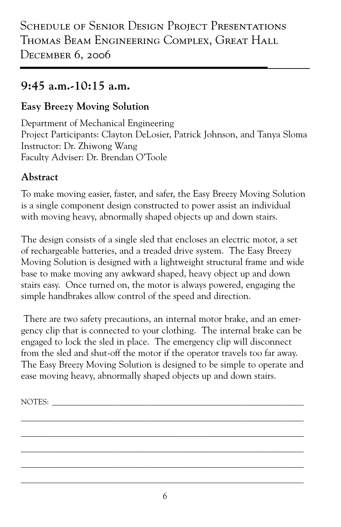## **9:45 a.m.-10:15 a.m.**

#### **Easy Breezy Moving Solution**

Department of Mechanical Engineering Project Participants: Clayton DeLosier, Patrick Johnson, and Tanya Sloma Instructor: Dr. Zhiwong Wang Faculty Adviser: Dr. Brendan O'Toole

### **Abstract**

To make moving easier, faster, and safer, the Easy Breezy Moving Solution is a single component design constructed to power assist an individual with moving heavy, abnormally shaped objects up and down stairs.

The design consists of a single sled that encloses an electric motor, a set of rechargeable batteries, and a treaded drive system. The Easy Breezy Moving Solution is designed with a lightweight structural frame and wide base to make moving any awkward shaped, heavy object up and down stairs easy. Once turned on, the motor is always powered, engaging the simple handbrakes allow control of the speed and direction.

 There are two safety precautions, an internal motor brake, and an emergency clip that is connected to your clothing. The internal brake can be engaged to lock the sled in place. The emergency clip will disconnect from the sled and shut-off the motor if the operator travels too far away. The Easy Breezy Moving Solution is designed to be simple to operate and ease moving heavy, abnormally shaped objects up and down stairs.

\_\_\_\_\_\_\_\_\_\_\_\_\_\_\_\_\_\_\_\_\_\_\_\_\_\_\_\_\_\_\_\_\_\_\_\_\_\_\_\_\_\_\_\_\_\_\_\_\_\_\_\_\_\_\_\_\_\_\_\_\_\_\_\_\_\_\_\_\_\_\_\_\_ \_\_\_\_\_\_\_\_\_\_\_\_\_\_\_\_\_\_\_\_\_\_\_\_\_\_\_\_\_\_\_\_\_\_\_\_\_\_\_\_\_\_\_\_\_\_\_\_\_\_\_\_\_\_\_\_\_\_\_\_\_\_\_\_\_\_\_\_\_\_\_\_\_ \_\_\_\_\_\_\_\_\_\_\_\_\_\_\_\_\_\_\_\_\_\_\_\_\_\_\_\_\_\_\_\_\_\_\_\_\_\_\_\_\_\_\_\_\_\_\_\_\_\_\_\_\_\_\_\_\_\_\_\_\_\_\_\_\_\_\_\_\_\_\_\_\_ \_\_\_\_\_\_\_\_\_\_\_\_\_\_\_\_\_\_\_\_\_\_\_\_\_\_\_\_\_\_\_\_\_\_\_\_\_\_\_\_\_\_\_\_\_\_\_\_\_\_\_\_\_\_\_\_\_\_\_\_\_\_\_\_\_\_\_\_\_\_\_\_\_ \_\_\_\_\_\_\_\_\_\_\_\_\_\_\_\_\_\_\_\_\_\_\_\_\_\_\_\_\_\_\_\_\_\_\_\_\_\_\_\_\_\_\_\_\_\_\_\_\_\_\_\_\_\_\_\_\_\_\_\_\_\_\_\_\_\_\_\_\_\_\_\_\_

NOTES: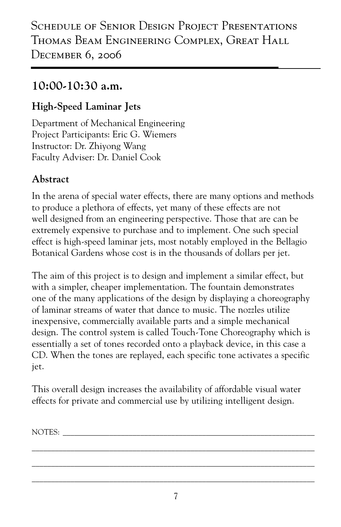## **10:00-10:30 a.m.**

### **High-Speed Laminar Jets**

Department of Mechanical Engineering Project Participants: Eric G. Wiemers Instructor: Dr. Zhiyong Wang Faculty Adviser: Dr. Daniel Cook

#### **Abstract**

In the arena of special water effects, there are many options and methods to produce a plethora of effects, yet many of these effects are not well designed from an engineering perspective. Those that are can be extremely expensive to purchase and to implement. One such special effect is high-speed laminar jets, most notably employed in the Bellagio Botanical Gardens whose cost is in the thousands of dollars per jet.

The aim of this project is to design and implement a similar effect, but with a simpler, cheaper implementation. The fountain demonstrates one of the many applications of the design by displaying a choreography of laminar streams of water that dance to music. The nozzles utilize inexpensive, commercially available parts and a simple mechanical design. The control system is called Touch-Tone Choreography which is essentially a set of tones recorded onto a playback device, in this case a CD. When the tones are replayed, each specific tone activates a specific jet.

This overall design increases the availability of affordable visual water effects for private and commercial use by utilizing intelligent design.

NOTES: \_\_\_\_\_\_\_\_\_\_\_\_\_\_\_\_\_\_\_\_\_\_\_\_\_\_\_\_\_\_\_\_\_\_\_\_\_\_\_\_\_\_\_\_\_\_\_\_\_\_\_\_\_\_\_\_\_\_\_\_\_\_\_\_\_

\_\_\_\_\_\_\_\_\_\_\_\_\_\_\_\_\_\_\_\_\_\_\_\_\_\_\_\_\_\_\_\_\_\_\_\_\_\_\_\_\_\_\_\_\_\_\_\_\_\_\_\_\_\_\_\_\_\_\_\_\_\_\_\_\_\_\_\_\_\_\_\_\_ \_\_\_\_\_\_\_\_\_\_\_\_\_\_\_\_\_\_\_\_\_\_\_\_\_\_\_\_\_\_\_\_\_\_\_\_\_\_\_\_\_\_\_\_\_\_\_\_\_\_\_\_\_\_\_\_\_\_\_\_\_\_\_\_\_\_\_\_\_\_\_\_\_ \_\_\_\_\_\_\_\_\_\_\_\_\_\_\_\_\_\_\_\_\_\_\_\_\_\_\_\_\_\_\_\_\_\_\_\_\_\_\_\_\_\_\_\_\_\_\_\_\_\_\_\_\_\_\_\_\_\_\_\_\_\_\_\_\_\_\_\_\_\_\_\_\_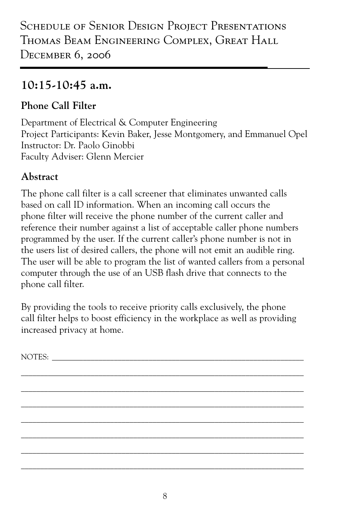## **10:15-10:45 a.m.**

### **Phone Call Filter**

Department of Electrical & Computer Engineering Project Participants: Kevin Baker, Jesse Montgomery, and Emmanuel Opel Instructor: Dr. Paolo Ginobbi Faculty Adviser: Glenn Mercier

## **Abstract**

The phone call filter is a call screener that eliminates unwanted calls based on call ID information. When an incoming call occurs the phone filter will receive the phone number of the current caller and reference their number against a list of acceptable caller phone numbers programmed by the user. If the current caller's phone number is not in the users list of desired callers, the phone will not emit an audible ring. The user will be able to program the list of wanted callers from a personal computer through the use of an USB flash drive that connects to the phone call filter.

By providing the tools to receive priority calls exclusively, the phone call filter helps to boost efficiency in the workplace as well as providing increased privacy at home.

NOTES:

\_\_\_\_\_\_\_\_\_\_\_\_\_\_\_\_\_\_\_\_\_\_\_\_\_\_\_\_\_\_\_\_\_\_\_\_\_\_\_\_\_\_\_\_\_\_\_\_\_\_\_\_\_\_\_\_\_\_\_\_\_\_\_\_\_\_\_\_\_\_\_\_\_ \_\_\_\_\_\_\_\_\_\_\_\_\_\_\_\_\_\_\_\_\_\_\_\_\_\_\_\_\_\_\_\_\_\_\_\_\_\_\_\_\_\_\_\_\_\_\_\_\_\_\_\_\_\_\_\_\_\_\_\_\_\_\_\_\_\_\_\_\_\_\_\_\_ \_\_\_\_\_\_\_\_\_\_\_\_\_\_\_\_\_\_\_\_\_\_\_\_\_\_\_\_\_\_\_\_\_\_\_\_\_\_\_\_\_\_\_\_\_\_\_\_\_\_\_\_\_\_\_\_\_\_\_\_\_\_\_\_\_\_\_\_\_\_\_\_\_ \_\_\_\_\_\_\_\_\_\_\_\_\_\_\_\_\_\_\_\_\_\_\_\_\_\_\_\_\_\_\_\_\_\_\_\_\_\_\_\_\_\_\_\_\_\_\_\_\_\_\_\_\_\_\_\_\_\_\_\_\_\_\_\_\_\_\_\_\_\_\_\_\_ \_\_\_\_\_\_\_\_\_\_\_\_\_\_\_\_\_\_\_\_\_\_\_\_\_\_\_\_\_\_\_\_\_\_\_\_\_\_\_\_\_\_\_\_\_\_\_\_\_\_\_\_\_\_\_\_\_\_\_\_\_\_\_\_\_\_\_\_\_\_\_\_\_ \_\_\_\_\_\_\_\_\_\_\_\_\_\_\_\_\_\_\_\_\_\_\_\_\_\_\_\_\_\_\_\_\_\_\_\_\_\_\_\_\_\_\_\_\_\_\_\_\_\_\_\_\_\_\_\_\_\_\_\_\_\_\_\_\_\_\_\_\_\_\_\_\_ \_\_\_\_\_\_\_\_\_\_\_\_\_\_\_\_\_\_\_\_\_\_\_\_\_\_\_\_\_\_\_\_\_\_\_\_\_\_\_\_\_\_\_\_\_\_\_\_\_\_\_\_\_\_\_\_\_\_\_\_\_\_\_\_\_\_\_\_\_\_\_\_\_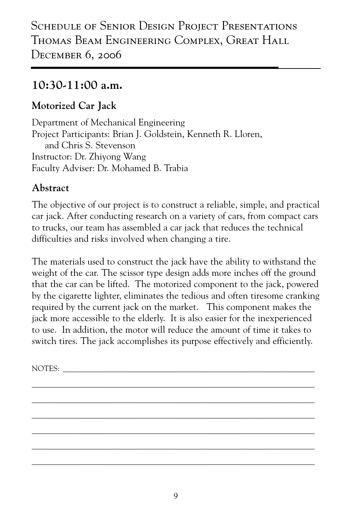### **10:30-11:00 a.m.**

#### **Motorized Car Jack**

Department of Mechanical Engineering Project Participants: Brian J. Goldstein, Kenneth R. Lloren, and Chris S. Stevenson Instructor: Dr. Zhiyong Wang Faculty Adviser: Dr. Mohamed B. Trabia

#### **Abstract**

The objective of our project is to construct a reliable, simple, and practical car jack. After conducting research on a variety of cars, from compact cars to trucks, our team has assembled a car jack that reduces the technical difficulties and risks involved when changing a tire.

The materials used to construct the jack have the ability to withstand the weight of the car. The scissor type design adds more inches off the ground that the car can be lifted. The motorized component to the jack, powered by the cigarette lighter, eliminates the tedious and often tiresome cranking required by the current jack on the market. This component makes the jack more accessible to the elderly. It is also easier for the inexperienced to use. In addition, the motor will reduce the amount of time it takes to switch tires. The jack accomplishes its purpose effectively and efficiently.

\_\_\_\_\_\_\_\_\_\_\_\_\_\_\_\_\_\_\_\_\_\_\_\_\_\_\_\_\_\_\_\_\_\_\_\_\_\_\_\_\_\_\_\_\_\_\_\_\_\_\_\_\_\_\_\_\_\_\_\_\_\_\_\_\_\_\_\_\_\_\_\_\_ \_\_\_\_\_\_\_\_\_\_\_\_\_\_\_\_\_\_\_\_\_\_\_\_\_\_\_\_\_\_\_\_\_\_\_\_\_\_\_\_\_\_\_\_\_\_\_\_\_\_\_\_\_\_\_\_\_\_\_\_\_\_\_\_\_\_\_\_\_\_\_\_\_ \_\_\_\_\_\_\_\_\_\_\_\_\_\_\_\_\_\_\_\_\_\_\_\_\_\_\_\_\_\_\_\_\_\_\_\_\_\_\_\_\_\_\_\_\_\_\_\_\_\_\_\_\_\_\_\_\_\_\_\_\_\_\_\_\_\_\_\_\_\_\_\_\_ \_\_\_\_\_\_\_\_\_\_\_\_\_\_\_\_\_\_\_\_\_\_\_\_\_\_\_\_\_\_\_\_\_\_\_\_\_\_\_\_\_\_\_\_\_\_\_\_\_\_\_\_\_\_\_\_\_\_\_\_\_\_\_\_\_\_\_\_\_\_\_\_\_ \_\_\_\_\_\_\_\_\_\_\_\_\_\_\_\_\_\_\_\_\_\_\_\_\_\_\_\_\_\_\_\_\_\_\_\_\_\_\_\_\_\_\_\_\_\_\_\_\_\_\_\_\_\_\_\_\_\_\_\_\_\_\_\_\_\_\_\_\_\_\_\_\_ \_\_\_\_\_\_\_\_\_\_\_\_\_\_\_\_\_\_\_\_\_\_\_\_\_\_\_\_\_\_\_\_\_\_\_\_\_\_\_\_\_\_\_\_\_\_\_\_\_\_\_\_\_\_\_\_\_\_\_\_\_\_\_\_\_\_\_\_\_\_\_\_\_

NOTES: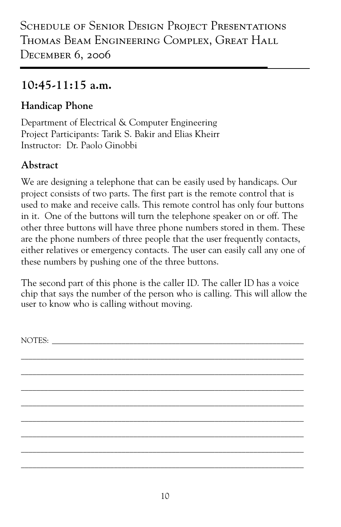## **10:45-11:15 a.m.**

## **Handicap Phone**

Department of Electrical & Computer Engineering Project Participants: Tarik S. Bakir and Elias Kheirr Instructor: Dr. Paolo Ginobbi

## **Abstract**

We are designing a telephone that can be easily used by handicaps. Our project consists of two parts. The first part is the remote control that is used to make and receive calls. This remote control has only four buttons in it. One of the buttons will turn the telephone speaker on or off. The other three buttons will have three phone numbers stored in them. These are the phone numbers of three people that the user frequently contacts, either relatives or emergency contacts. The user can easily call any one of these numbers by pushing one of the three buttons.

The second part of this phone is the caller ID. The caller ID has a voice chip that says the number of the person who is calling. This will allow the user to know who is calling without moving.

\_\_\_\_\_\_\_\_\_\_\_\_\_\_\_\_\_\_\_\_\_\_\_\_\_\_\_\_\_\_\_\_\_\_\_\_\_\_\_\_\_\_\_\_\_\_\_\_\_\_\_\_\_\_\_\_\_\_\_\_\_\_\_\_\_\_\_\_\_\_\_\_\_ \_\_\_\_\_\_\_\_\_\_\_\_\_\_\_\_\_\_\_\_\_\_\_\_\_\_\_\_\_\_\_\_\_\_\_\_\_\_\_\_\_\_\_\_\_\_\_\_\_\_\_\_\_\_\_\_\_\_\_\_\_\_\_\_\_\_\_\_\_\_\_\_\_ \_\_\_\_\_\_\_\_\_\_\_\_\_\_\_\_\_\_\_\_\_\_\_\_\_\_\_\_\_\_\_\_\_\_\_\_\_\_\_\_\_\_\_\_\_\_\_\_\_\_\_\_\_\_\_\_\_\_\_\_\_\_\_\_\_\_\_\_\_\_\_\_\_ \_\_\_\_\_\_\_\_\_\_\_\_\_\_\_\_\_\_\_\_\_\_\_\_\_\_\_\_\_\_\_\_\_\_\_\_\_\_\_\_\_\_\_\_\_\_\_\_\_\_\_\_\_\_\_\_\_\_\_\_\_\_\_\_\_\_\_\_\_\_\_\_\_ \_\_\_\_\_\_\_\_\_\_\_\_\_\_\_\_\_\_\_\_\_\_\_\_\_\_\_\_\_\_\_\_\_\_\_\_\_\_\_\_\_\_\_\_\_\_\_\_\_\_\_\_\_\_\_\_\_\_\_\_\_\_\_\_\_\_\_\_\_\_\_\_\_ \_\_\_\_\_\_\_\_\_\_\_\_\_\_\_\_\_\_\_\_\_\_\_\_\_\_\_\_\_\_\_\_\_\_\_\_\_\_\_\_\_\_\_\_\_\_\_\_\_\_\_\_\_\_\_\_\_\_\_\_\_\_\_\_\_\_\_\_\_\_\_\_\_ \_\_\_\_\_\_\_\_\_\_\_\_\_\_\_\_\_\_\_\_\_\_\_\_\_\_\_\_\_\_\_\_\_\_\_\_\_\_\_\_\_\_\_\_\_\_\_\_\_\_\_\_\_\_\_\_\_\_\_\_\_\_\_\_\_\_\_\_\_\_\_\_\_ \_\_\_\_\_\_\_\_\_\_\_\_\_\_\_\_\_\_\_\_\_\_\_\_\_\_\_\_\_\_\_\_\_\_\_\_\_\_\_\_\_\_\_\_\_\_\_\_\_\_\_\_\_\_\_\_\_\_\_\_\_\_\_\_\_\_\_\_\_\_\_\_\_

NOTES: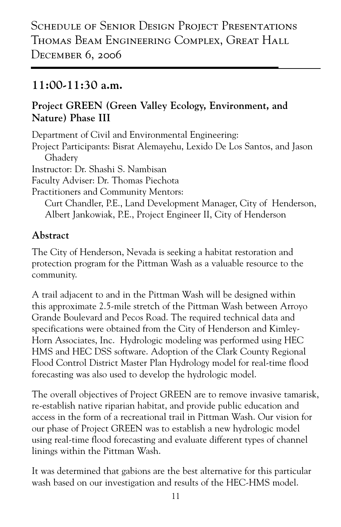## **11:00-11:30 a.m.**

#### **Project GREEN (Green Valley Ecology, Environment, and Nature) Phase III**

Department of Civil and Environmental Engineering: Project Participants: Bisrat Alemayehu, Lexido De Los Santos, and Jason Ghadery Instructor: Dr. Shashi S. Nambisan Faculty Adviser: Dr. Thomas Piechota Practitioners and Community Mentors: Curt Chandler, P.E., Land Development Manager, City of Henderson, Albert Jankowiak, P.E., Project Engineer II, City of Henderson

#### **Abstract**

The City of Henderson, Nevada is seeking a habitat restoration and protection program for the Pittman Wash as a valuable resource to the community.

A trail adjacent to and in the Pittman Wash will be designed within this approximate 2.5-mile stretch of the Pittman Wash between Arroyo Grande Boulevard and Pecos Road. The required technical data and specifications were obtained from the City of Henderson and Kimley-Horn Associates, Inc. Hydrologic modeling was performed using HEC HMS and HEC DSS software. Adoption of the Clark County Regional Flood Control District Master Plan Hydrology model for real-time flood forecasting was also used to develop the hydrologic model.

The overall objectives of Project GREEN are to remove invasive tamarisk, re-establish native riparian habitat, and provide public education and access in the form of a recreational trail in Pittman Wash. Our vision for our phase of Project GREEN was to establish a new hydrologic model using real-time flood forecasting and evaluate different types of channel linings within the Pittman Wash.

It was determined that gabions are the best alternative for this particular wash based on our investigation and results of the HEC-HMS model.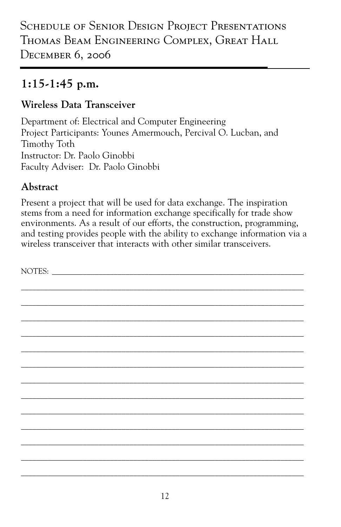## **1:15-1:45 p.m.**

#### **Wireless Data Transceiver**

Department of: Electrical and Computer Engineering Project Participants: Younes Amermouch, Percival O. Lucban, and Timothy Toth Instructor: Dr. Paolo Ginobbi Faculty Adviser: Dr. Paolo Ginobbi

#### **Abstract**

Present a project that will be used for data exchange. The inspiration stems from a need for information exchange specifically for trade show environments. As a result of our efforts, the construction, programming, and testing provides people with the ability to exchange information via a wireless transceiver that interacts with other similar transceivers.

\_\_\_\_\_\_\_\_\_\_\_\_\_\_\_\_\_\_\_\_\_\_\_\_\_\_\_\_\_\_\_\_\_\_\_\_\_\_\_\_\_\_\_\_\_\_\_\_\_\_\_\_\_\_\_\_\_\_\_\_\_\_\_\_\_\_\_\_\_\_\_\_\_

NOTES:

\_\_\_\_\_\_\_\_\_\_\_\_\_\_\_\_\_\_\_\_\_\_\_\_\_\_\_\_\_\_\_\_\_\_\_\_\_\_\_\_\_\_\_\_\_\_\_\_\_\_\_\_\_\_\_\_\_\_\_\_\_\_\_\_\_\_\_\_\_\_\_\_\_ \_\_\_\_\_\_\_\_\_\_\_\_\_\_\_\_\_\_\_\_\_\_\_\_\_\_\_\_\_\_\_\_\_\_\_\_\_\_\_\_\_\_\_\_\_\_\_\_\_\_\_\_\_\_\_\_\_\_\_\_\_\_\_\_\_\_\_\_\_\_\_\_\_ \_\_\_\_\_\_\_\_\_\_\_\_\_\_\_\_\_\_\_\_\_\_\_\_\_\_\_\_\_\_\_\_\_\_\_\_\_\_\_\_\_\_\_\_\_\_\_\_\_\_\_\_\_\_\_\_\_\_\_\_\_\_\_\_\_\_\_\_\_\_\_\_\_ \_\_\_\_\_\_\_\_\_\_\_\_\_\_\_\_\_\_\_\_\_\_\_\_\_\_\_\_\_\_\_\_\_\_\_\_\_\_\_\_\_\_\_\_\_\_\_\_\_\_\_\_\_\_\_\_\_\_\_\_\_\_\_\_\_\_\_\_\_\_\_\_\_ \_\_\_\_\_\_\_\_\_\_\_\_\_\_\_\_\_\_\_\_\_\_\_\_\_\_\_\_\_\_\_\_\_\_\_\_\_\_\_\_\_\_\_\_\_\_\_\_\_\_\_\_\_\_\_\_\_\_\_\_\_\_\_\_\_\_\_\_\_\_\_\_\_ \_\_\_\_\_\_\_\_\_\_\_\_\_\_\_\_\_\_\_\_\_\_\_\_\_\_\_\_\_\_\_\_\_\_\_\_\_\_\_\_\_\_\_\_\_\_\_\_\_\_\_\_\_\_\_\_\_\_\_\_\_\_\_\_\_\_\_\_\_\_\_\_\_ \_\_\_\_\_\_\_\_\_\_\_\_\_\_\_\_\_\_\_\_\_\_\_\_\_\_\_\_\_\_\_\_\_\_\_\_\_\_\_\_\_\_\_\_\_\_\_\_\_\_\_\_\_\_\_\_\_\_\_\_\_\_\_\_\_\_\_\_\_\_\_\_\_ \_\_\_\_\_\_\_\_\_\_\_\_\_\_\_\_\_\_\_\_\_\_\_\_\_\_\_\_\_\_\_\_\_\_\_\_\_\_\_\_\_\_\_\_\_\_\_\_\_\_\_\_\_\_\_\_\_\_\_\_\_\_\_\_\_\_\_\_\_\_\_\_\_ \_\_\_\_\_\_\_\_\_\_\_\_\_\_\_\_\_\_\_\_\_\_\_\_\_\_\_\_\_\_\_\_\_\_\_\_\_\_\_\_\_\_\_\_\_\_\_\_\_\_\_\_\_\_\_\_\_\_\_\_\_\_\_\_\_\_\_\_\_\_\_\_\_ \_\_\_\_\_\_\_\_\_\_\_\_\_\_\_\_\_\_\_\_\_\_\_\_\_\_\_\_\_\_\_\_\_\_\_\_\_\_\_\_\_\_\_\_\_\_\_\_\_\_\_\_\_\_\_\_\_\_\_\_\_\_\_\_\_\_\_\_\_\_\_\_\_ \_\_\_\_\_\_\_\_\_\_\_\_\_\_\_\_\_\_\_\_\_\_\_\_\_\_\_\_\_\_\_\_\_\_\_\_\_\_\_\_\_\_\_\_\_\_\_\_\_\_\_\_\_\_\_\_\_\_\_\_\_\_\_\_\_\_\_\_\_\_\_\_\_ \_\_\_\_\_\_\_\_\_\_\_\_\_\_\_\_\_\_\_\_\_\_\_\_\_\_\_\_\_\_\_\_\_\_\_\_\_\_\_\_\_\_\_\_\_\_\_\_\_\_\_\_\_\_\_\_\_\_\_\_\_\_\_\_\_\_\_\_\_\_\_\_\_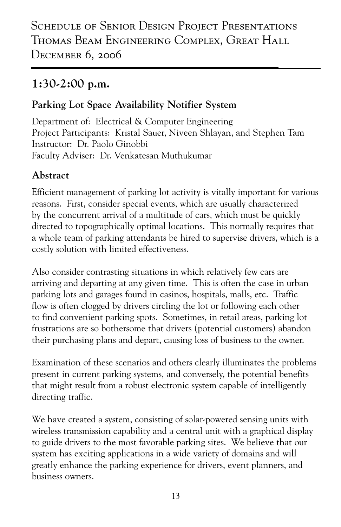## **1:30-2:00 p.m.**

#### **Parking Lot Space Availability Notifier System**

Department of: Electrical & Computer Engineering Project Participants: Kristal Sauer, Niveen Shlayan, and Stephen Tam Instructor: Dr. Paolo Ginobbi Faculty Adviser: Dr. Venkatesan Muthukumar

#### **Abstract**

Efficient management of parking lot activity is vitally important for various reasons. First, consider special events, which are usually characterized by the concurrent arrival of a multitude of cars, which must be quickly directed to topographically optimal locations. This normally requires that a whole team of parking attendants be hired to supervise drivers, which is a costly solution with limited effectiveness.

Also consider contrasting situations in which relatively few cars are arriving and departing at any given time. This is often the case in urban parking lots and garages found in casinos, hospitals, malls, etc. Traffic flow is often clogged by drivers circling the lot or following each other to find convenient parking spots. Sometimes, in retail areas, parking lot frustrations are so bothersome that drivers (potential customers) abandon their purchasing plans and depart, causing loss of business to the owner.

Examination of these scenarios and others clearly illuminates the problems present in current parking systems, and conversely, the potential benefits that might result from a robust electronic system capable of intelligently directing traffic.

We have created a system, consisting of solar-powered sensing units with wireless transmission capability and a central unit with a graphical display to guide drivers to the most favorable parking sites. We believe that our system has exciting applications in a wide variety of domains and will greatly enhance the parking experience for drivers, event planners, and business owners.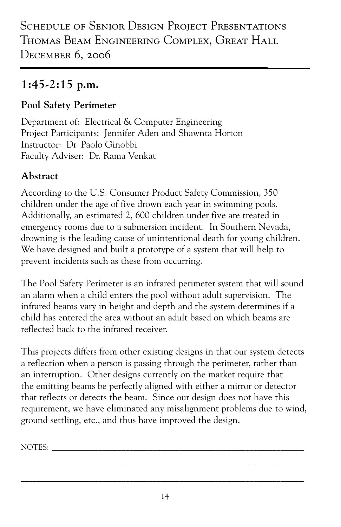## **1:45-2:15 p.m.**

#### **Pool Safety Perimeter**

Department of: Electrical & Computer Engineering Project Participants: Jennifer Aden and Shawnta Horton Instructor: Dr. Paolo Ginobbi Faculty Adviser: Dr. Rama Venkat

## **Abstract**

According to the U.S. Consumer Product Safety Commission, 350 children under the age of five drown each year in swimming pools. Additionally, an estimated 2, 600 children under five are treated in emergency rooms due to a submersion incident. In Southern Nevada, drowning is the leading cause of unintentional death for young children. We have designed and built a prototype of a system that will help to prevent incidents such as these from occurring.

The Pool Safety Perimeter is an infrared perimeter system that will sound an alarm when a child enters the pool without adult supervision. The infrared beams vary in height and depth and the system determines if a child has entered the area without an adult based on which beams are reflected back to the infrared receiver.

This projects differs from other existing designs in that our system detects a reflection when a person is passing through the perimeter, rather than an interruption. Other designs currently on the market require that the emitting beams be perfectly aligned with either a mirror or detector that reflects or detects the beam. Since our design does not have this requirement, we have eliminated any misalignment problems due to wind, ground settling, etc., and thus have improved the design.

NOTES:

\_\_\_\_\_\_\_\_\_\_\_\_\_\_\_\_\_\_\_\_\_\_\_\_\_\_\_\_\_\_\_\_\_\_\_\_\_\_\_\_\_\_\_\_\_\_\_\_\_\_\_\_\_\_\_\_\_\_\_\_\_\_\_\_\_\_\_\_\_\_\_\_\_ \_\_\_\_\_\_\_\_\_\_\_\_\_\_\_\_\_\_\_\_\_\_\_\_\_\_\_\_\_\_\_\_\_\_\_\_\_\_\_\_\_\_\_\_\_\_\_\_\_\_\_\_\_\_\_\_\_\_\_\_\_\_\_\_\_\_\_\_\_\_\_\_\_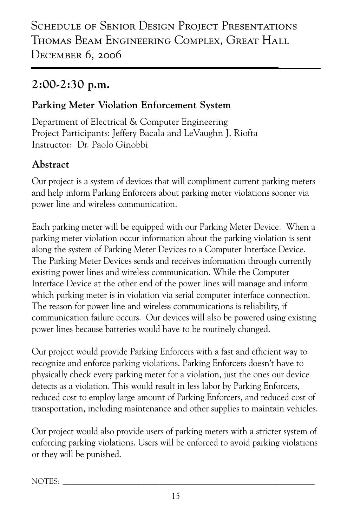## **2:00-2:30 p.m.**

#### **Parking Meter Violation Enforcement System**

Department of Electrical & Computer Engineering Project Participants: Jeffery Bacala and LeVaughn J. Riofta Instructor: Dr. Paolo Ginobbi

## **Abstract**

Our project is a system of devices that will compliment current parking meters and help inform Parking Enforcers about parking meter violations sooner via power line and wireless communication.

Each parking meter will be equipped with our Parking Meter Device. When a parking meter violation occur information about the parking violation is sent along the system of Parking Meter Devices to a Computer Interface Device. The Parking Meter Devices sends and receives information through currently existing power lines and wireless communication. While the Computer Interface Device at the other end of the power lines will manage and inform which parking meter is in violation via serial computer interface connection. The reason for power line and wireless communications is reliability, if communication failure occurs. Our devices will also be powered using existing power lines because batteries would have to be routinely changed.

Our project would provide Parking Enforcers with a fast and efficient way to recognize and enforce parking violations. Parking Enforcers doesn't have to physically check every parking meter for a violation, just the ones our device detects as a violation. This would result in less labor by Parking Enforcers, reduced cost to employ large amount of Parking Enforcers, and reduced cost of transportation, including maintenance and other supplies to maintain vehicles.

Our project would also provide users of parking meters with a stricter system of enforcing parking violations. Users will be enforced to avoid parking violations or they will be punished.

NOTES: \_\_\_\_\_\_\_\_\_\_\_\_\_\_\_\_\_\_\_\_\_\_\_\_\_\_\_\_\_\_\_\_\_\_\_\_\_\_\_\_\_\_\_\_\_\_\_\_\_\_\_\_\_\_\_\_\_\_\_\_\_\_\_\_\_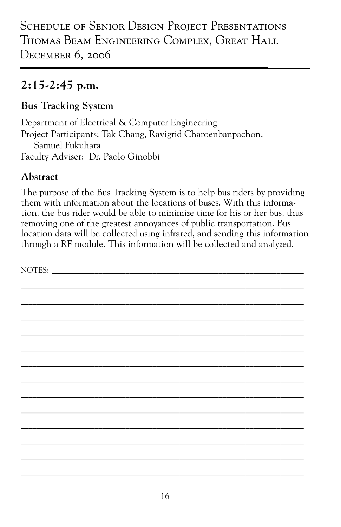## **2:15-2:45 p.m.**

#### **Bus Tracking System**

Department of Electrical & Computer Engineering Project Participants: Tak Chang, Ravigrid Charoenbanpachon, Samuel Fukuhara Faculty Adviser: Dr. Paolo Ginobbi

### **Abstract**

The purpose of the Bus Tracking System is to help bus riders by providing them with information about the locations of buses. With this information, the bus rider would be able to minimize time for his or her bus, thus removing one of the greatest annoyances of public transportation. Bus location data will be collected using infrared, and sending this information through a RF module. This information will be collected and analyzed.

NOTES: \_\_\_\_\_\_\_\_\_\_\_\_\_\_\_\_\_\_\_\_\_\_\_\_\_\_\_\_\_\_\_\_\_\_\_\_\_\_\_\_\_\_\_\_\_\_\_\_\_\_\_\_\_\_\_\_\_\_\_\_\_\_\_\_\_\_\_\_\_\_\_\_\_ \_\_\_\_\_\_\_\_\_\_\_\_\_\_\_\_\_\_\_\_\_\_\_\_\_\_\_\_\_\_\_\_\_\_\_\_\_\_\_\_\_\_\_\_\_\_\_\_\_\_\_\_\_\_\_\_\_\_\_\_\_\_\_\_\_\_\_\_\_\_\_\_\_ \_\_\_\_\_\_\_\_\_\_\_\_\_\_\_\_\_\_\_\_\_\_\_\_\_\_\_\_\_\_\_\_\_\_\_\_\_\_\_\_\_\_\_\_\_\_\_\_\_\_\_\_\_\_\_\_\_\_\_\_\_\_\_\_\_\_\_\_\_\_\_\_\_ \_\_\_\_\_\_\_\_\_\_\_\_\_\_\_\_\_\_\_\_\_\_\_\_\_\_\_\_\_\_\_\_\_\_\_\_\_\_\_\_\_\_\_\_\_\_\_\_\_\_\_\_\_\_\_\_\_\_\_\_\_\_\_\_\_\_\_\_\_\_\_\_\_ \_\_\_\_\_\_\_\_\_\_\_\_\_\_\_\_\_\_\_\_\_\_\_\_\_\_\_\_\_\_\_\_\_\_\_\_\_\_\_\_\_\_\_\_\_\_\_\_\_\_\_\_\_\_\_\_\_\_\_\_\_\_\_\_\_\_\_\_\_\_\_\_\_ \_\_\_\_\_\_\_\_\_\_\_\_\_\_\_\_\_\_\_\_\_\_\_\_\_\_\_\_\_\_\_\_\_\_\_\_\_\_\_\_\_\_\_\_\_\_\_\_\_\_\_\_\_\_\_\_\_\_\_\_\_\_\_\_\_\_\_\_\_\_\_\_\_ \_\_\_\_\_\_\_\_\_\_\_\_\_\_\_\_\_\_\_\_\_\_\_\_\_\_\_\_\_\_\_\_\_\_\_\_\_\_\_\_\_\_\_\_\_\_\_\_\_\_\_\_\_\_\_\_\_\_\_\_\_\_\_\_\_\_\_\_\_\_\_\_\_ \_\_\_\_\_\_\_\_\_\_\_\_\_\_\_\_\_\_\_\_\_\_\_\_\_\_\_\_\_\_\_\_\_\_\_\_\_\_\_\_\_\_\_\_\_\_\_\_\_\_\_\_\_\_\_\_\_\_\_\_\_\_\_\_\_\_\_\_\_\_\_\_\_ \_\_\_\_\_\_\_\_\_\_\_\_\_\_\_\_\_\_\_\_\_\_\_\_\_\_\_\_\_\_\_\_\_\_\_\_\_\_\_\_\_\_\_\_\_\_\_\_\_\_\_\_\_\_\_\_\_\_\_\_\_\_\_\_\_\_\_\_\_\_\_\_\_ \_\_\_\_\_\_\_\_\_\_\_\_\_\_\_\_\_\_\_\_\_\_\_\_\_\_\_\_\_\_\_\_\_\_\_\_\_\_\_\_\_\_\_\_\_\_\_\_\_\_\_\_\_\_\_\_\_\_\_\_\_\_\_\_\_\_\_\_\_\_\_\_\_ \_\_\_\_\_\_\_\_\_\_\_\_\_\_\_\_\_\_\_\_\_\_\_\_\_\_\_\_\_\_\_\_\_\_\_\_\_\_\_\_\_\_\_\_\_\_\_\_\_\_\_\_\_\_\_\_\_\_\_\_\_\_\_\_\_\_\_\_\_\_\_\_\_ \_\_\_\_\_\_\_\_\_\_\_\_\_\_\_\_\_\_\_\_\_\_\_\_\_\_\_\_\_\_\_\_\_\_\_\_\_\_\_\_\_\_\_\_\_\_\_\_\_\_\_\_\_\_\_\_\_\_\_\_\_\_\_\_\_\_\_\_\_\_\_\_\_ \_\_\_\_\_\_\_\_\_\_\_\_\_\_\_\_\_\_\_\_\_\_\_\_\_\_\_\_\_\_\_\_\_\_\_\_\_\_\_\_\_\_\_\_\_\_\_\_\_\_\_\_\_\_\_\_\_\_\_\_\_\_\_\_\_\_\_\_\_\_\_\_\_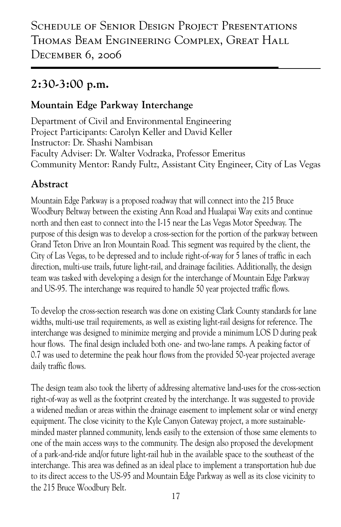## **2:30-3:00 p.m.**

#### **Mountain Edge Parkway Interchange**

Department of Civil and Environmental Engineering Project Participants: Carolyn Keller and David Keller Instructor: Dr. Shashi Nambisan Faculty Adviser: Dr. Walter Vodrazka, Professor Emeritus Community Mentor: Randy Fultz, Assistant City Engineer, City of Las Vegas

### **Abstract**

Mountain Edge Parkway is a proposed roadway that will connect into the 215 Bruce Woodbury Beltway between the existing Ann Road and Hualapai Way exits and continue north and then east to connect into the I-15 near the Las Vegas Motor Speedway. The purpose of this design was to develop a cross-section for the portion of the parkway between Grand Teton Drive an Iron Mountain Road. This segment was required by the client, the City of Las Vegas, to be depressed and to include right-of-way for 5 lanes of traffic in each direction, multi-use trails, future light-rail, and drainage facilities. Additionally, the design team was tasked with developing a design for the interchange of Mountain Edge Parkway and US-95. The interchange was required to handle 50 year projected traffic flows.

To develop the cross-section research was done on existing Clark County standards for lane widths, multi-use trail requirements, as well as existing light-rail designs for reference. The interchange was designed to minimize merging and provide a minimum LOS D during peak hour flows. The final design included both one- and two-lane ramps. A peaking factor of 0.7 was used to determine the peak hour flows from the provided 50-year projected average daily traffic flows.

The design team also took the liberty of addressing alternative land-uses for the cross-section right-of-way as well as the footprint created by the interchange. It was suggested to provide a widened median or areas within the drainage easement to implement solar or wind energy equipment. The close vicinity to the Kyle Canyon Gateway project, a more sustainableminded master planned community, lends easily to the extension of those same elements to one of the main access ways to the community. The design also proposed the development of a park-and-ride and/or future light-rail hub in the available space to the southeast of the interchange. This area was defined as an ideal place to implement a transportation hub due to its direct access to the US-95 and Mountain Edge Parkway as well as its close vicinity to the 215 Bruce Woodbury Belt.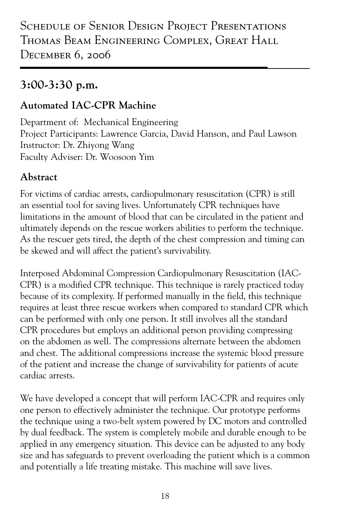## **3:00-3:30 p.m.**

#### **Automated IAC-CPR Machine**

Department of: Mechanical Engineering Project Participants: Lawrence Garcia, David Hanson, and Paul Lawson Instructor: Dr. Zhiyong Wang Faculty Adviser: Dr. Woosoon Yim

#### **Abstract**

For victims of cardiac arrests, cardiopulmonary resuscitation (CPR) is still an essential tool for saving lives. Unfortunately CPR techniques have limitations in the amount of blood that can be circulated in the patient and ultimately depends on the rescue workers abilities to perform the technique. As the rescuer gets tired, the depth of the chest compression and timing can be skewed and will affect the patient's survivability.

Interposed Abdominal Compression Cardiopulmonary Resuscitation (IAC-CPR) is a modified CPR technique. This technique is rarely practiced today because of its complexity. If performed manually in the field, this technique requires at least three rescue workers when compared to standard CPR which can be performed with only one person. It still involves all the standard CPR procedures but employs an additional person providing compressing on the abdomen as well. The compressions alternate between the abdomen and chest. The additional compressions increase the systemic blood pressure of the patient and increase the change of survivability for patients of acute cardiac arrests.

We have developed a concept that will perform IAC-CPR and requires only one person to effectively administer the technique. Our prototype performs the technique using a two-belt system powered by DC motors and controlled by dual feedback. The system is completely mobile and durable enough to be applied in any emergency situation. This device can be adjusted to any body size and has safeguards to prevent overloading the patient which is a common and potentially a life treating mistake. This machine will save lives.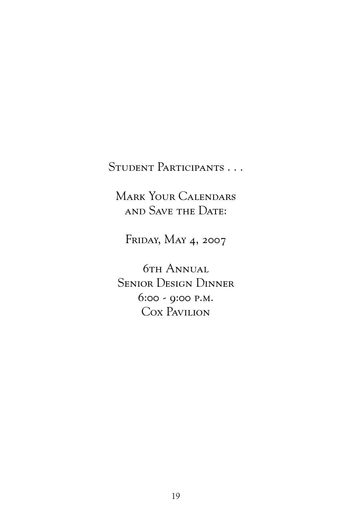### Student Participants . . .

Mark Your Calendars and Save the Date:

FRIDAY, MAY 4, 2007

**6TH ANNUAL** Senior Design Dinner 6:00 - 9:00 p.m. Cox Pavilion